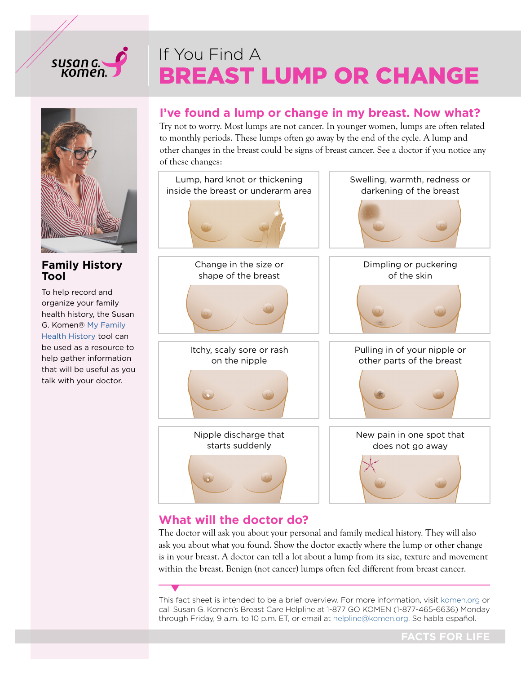# susan G.<br>Komen

# BREAST LUMP OR CHANGE If You Find A



#### **Family History Tool**

To help record and organize your family health history, the Susan G. Komen® [My Family](https://www.komen.org/fhht/index.html) [Health History](https://www.komen.org/fhht/index.html) tool can be used as a resource to help gather information that will be useful as you talk with your doctor.

#### **I've found a lump or change in my breast. Now what?**

Try not to worry. Most lumps are not cancer. In younger women, lumps are often related to monthly periods. These lumps often go away by the end of the cycle. A lump and other changes in the breast could be signs of breast cancer. See a doctor if you notice any of these changes:



### **What will the doctor do?**

The doctor will ask you about your personal and family medical history. They will also ask you about what you found. Show the doctor exactly where the lump or other change is in your breast. A doctor can tell a lot about a lump from its size, texture and movement within the breast. Benign (not cancer) lumps often feel different from breast cancer.

This fact sheet is intended to be a brief overview. For more information, visit [komen.org](https://www.komen.org) or call Susan G. Komen's Breast Care Helpline at 1-877 GO KOMEN (1-877-465-6636) Monday through Friday, 9 a.m. to 10 p.m. ET, or email at [helpline@komen.org.](mailto:helpline%40komen.org?subject=) Se habla español.